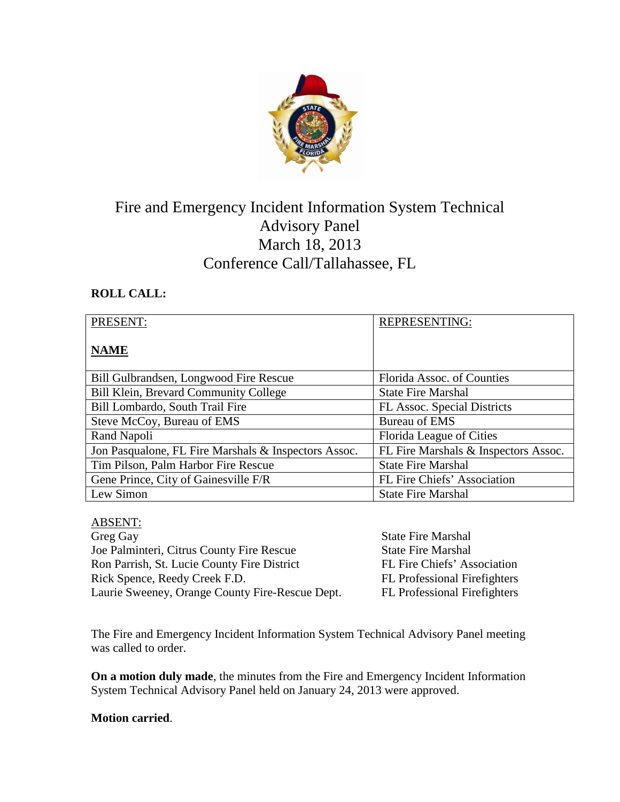

# Fire and Emergency Incident Information System Technical Advisory Panel March 18, 2013 Conference Call/Tallahassee, FL

# **ROLL CALL:**

| PRESENT:                                             | <b>REPRESENTING:</b>                 |
|------------------------------------------------------|--------------------------------------|
| <b>NAME</b>                                          |                                      |
| Bill Gulbrandsen, Longwood Fire Rescue               | Florida Assoc. of Counties           |
| Bill Klein, Brevard Community College                | <b>State Fire Marshal</b>            |
| Bill Lombardo, South Trail Fire                      | FL Assoc. Special Districts          |
| Steve McCoy, Bureau of EMS                           | <b>Bureau of EMS</b>                 |
| Rand Napoli                                          | Florida League of Cities             |
| Jon Pasqualone, FL Fire Marshals & Inspectors Assoc. | FL Fire Marshals & Inspectors Assoc. |
| Tim Pilson, Palm Harbor Fire Rescue                  | <b>State Fire Marshal</b>            |
| Gene Prince, City of Gainesville F/R                 | FL Fire Chiefs' Association          |
| Lew Simon                                            | <b>State Fire Marshal</b>            |

# ABSENT:

Greg Gay State Fire Marshal Joe Palminteri, Citrus County Fire Rescue State Fire Marshal Ron Parrish, St. Lucie County Fire District FL Fire Chiefs' Association Rick Spence, Reedy Creek F.D. FL Professional Firefighters Laurie Sweeney, Orange County Fire-Rescue Dept. FL Professional Firefighters

The Fire and Emergency Incident Information System Technical Advisory Panel meeting was called to order.

**On a motion duly made**, the minutes from the Fire and Emergency Incident Information System Technical Advisory Panel held on January 24, 2013 were approved.

#### **Motion carried**.